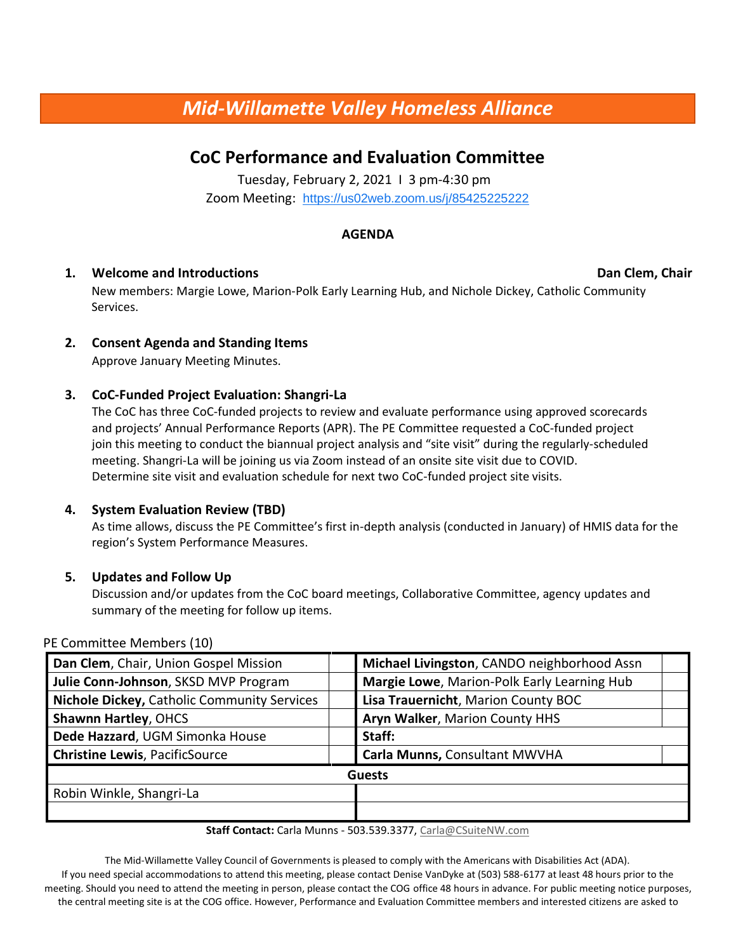# *Mid-Willamette Valley Homeless Alliance*

## **CoC Performance and Evaluation Committee**

Tuesday, February 2, 2021 I 3 pm-4:30 pm Zoom Meeting: <https://us02web.zoom.us/j/85425225222>

#### **AGENDA**

### **1. Welcome and Introductions Dan Clem, Chair**

New members: Margie Lowe, Marion-Polk Early Learning Hub, and Nichole Dickey, Catholic Community Services.

### **2. Consent Agenda and Standing Items**

Approve January Meeting Minutes.

#### **3. CoC-Funded Project Evaluation: Shangri-La**

The CoC has three CoC-funded projects to review and evaluate performance using approved scorecards and projects' Annual Performance Reports (APR). The PE Committee requested a CoC-funded project join this meeting to conduct the biannual project analysis and "site visit" during the regularly-scheduled meeting. Shangri-La will be joining us via Zoom instead of an onsite site visit due to COVID. Determine site visit and evaluation schedule for next two CoC-funded project site visits.

#### **4. System Evaluation Review (TBD)**

As time allows, discuss the PE Committee's first in-depth analysis (conducted in January) of HMIS data for the region's System Performance Measures.

#### **5. Updates and Follow Up**

Discussion and/or updates from the CoC board meetings, Collaborative Committee, agency updates and summary of the meeting for follow up items.

#### PE Committee Members (10)

| Dan Clem, Chair, Union Gospel Mission       | Michael Livingston, CANDO neighborhood Assn |                                             |
|---------------------------------------------|---------------------------------------------|---------------------------------------------|
| Julie Conn-Johnson, SKSD MVP Program        |                                             | Margie Lowe, Marion-Polk Early Learning Hub |
| Nichole Dickey, Catholic Community Services |                                             | Lisa Trauernicht, Marion County BOC         |
| <b>Shawnn Hartley, OHCS</b>                 |                                             | Aryn Walker, Marion County HHS              |
| Dede Hazzard, UGM Simonka House             | Staff:                                      |                                             |
| <b>Christine Lewis, PacificSource</b>       |                                             | Carla Munns, Consultant MWVHA               |
|                                             | <b>Guests</b>                               |                                             |
| Robin Winkle, Shangri-La                    |                                             |                                             |
|                                             |                                             |                                             |

#### **Staff Contact:** Carla Munns - 503.539.3377, Carla@CSuiteNW.com

The Mid-Willamette Valley Council of Governments is pleased to comply with the Americans with Disabilities Act (ADA). If you need special accommodations to attend this meeting, please contact Denise VanDyke at (503) 588-6177 at least 48 hours prior to the meeting. Should you need to attend the meeting in person, please contact the COG office 48 hours in advance. For public meeting notice purposes, the central meeting site is at the COG office. However, Performance and Evaluation Committee members and interested citizens are asked to